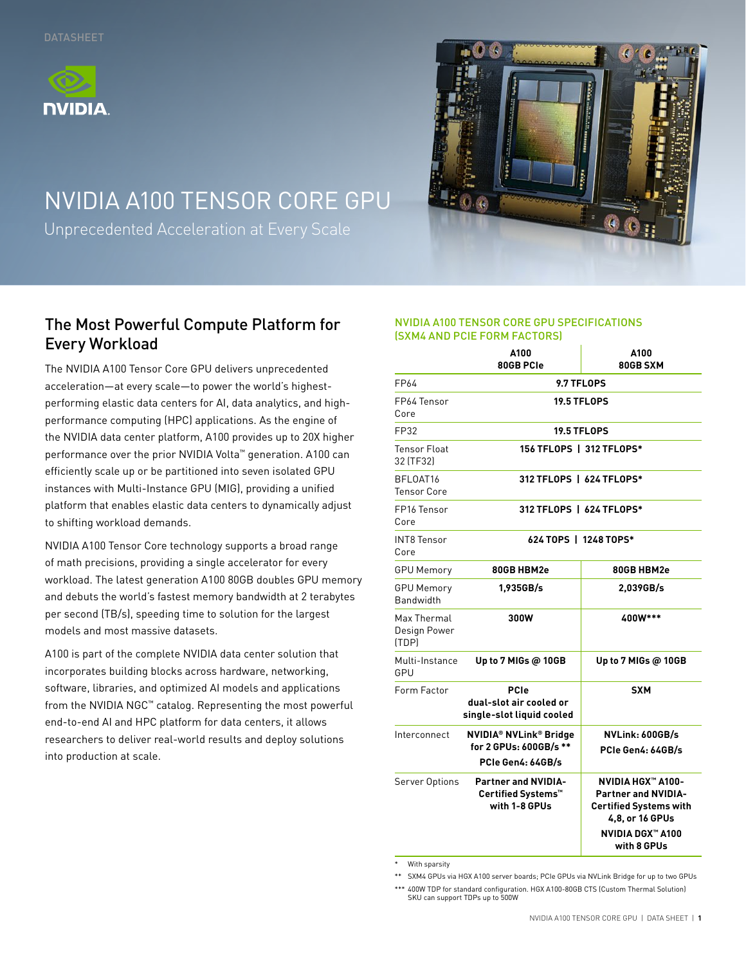



# NVIDIA A100 TENSOR CORE GPU

Unprecedented Acceleration at Every Scale

## The Most Powerful Compute Platform for Every Workload

The NVIDIA A100 Tensor Core GPU delivers unprecedented acceleration—at every scale—to power the world's highestperforming elastic data centers for AI, data analytics, and highperformance computing (HPC) applications. As the engine of the NVIDIA data center platform, A100 provides up to 20X higher performance over the prior NVIDIA Volta™ generation. A100 can efficiently scale up or be partitioned into seven isolated GPU instances with Multi-Instance GPU (MIG), providing a unified platform that enables elastic data centers to dynamically adjust to shifting workload demands.

NVIDIA A100 Tensor Core technology supports a broad range of math precisions, providing a single accelerator for every workload. The latest generation A100 80GB doubles GPU memory and debuts the world's fastest memory bandwidth at 2 terabytes per second (TB/s), speeding time to solution for the largest models and most massive datasets.

A100 is part of the complete NVIDIA data center solution that incorporates building blocks across hardware, networking, software, libraries, and optimized AI models and applications from the NVIDIA NGC™ catalog. Representing the most powerful end-to-end AI and HPC platform for data centers, it allows researchers to deliver real-world results and deploy solutions into production at scale.

#### NVIDIA A100 TENSOR CORE GPU SPECIFICATIONS (SXM4 AND PCIE FORM FACTORS)

|                                      | A100<br>80GB PCIe                                                             | A100<br>80GB SXM                                                                                                                                     |  |
|--------------------------------------|-------------------------------------------------------------------------------|------------------------------------------------------------------------------------------------------------------------------------------------------|--|
| FP64                                 | 9.7 TFLOPS                                                                    |                                                                                                                                                      |  |
| FP64 Tensor<br>Core                  | <b>19.5 TFLOPS</b>                                                            |                                                                                                                                                      |  |
| FP32                                 | <b>19.5 TFLOPS</b>                                                            |                                                                                                                                                      |  |
| <b>Tensor Float</b><br>32 [TF32]     | 156 TFLOPS   312 TFLOPS*                                                      |                                                                                                                                                      |  |
| BFLOAT16<br><b>Tensor Core</b>       | 312 TFLOPS   624 TFLOPS*                                                      |                                                                                                                                                      |  |
| FP16 Tensor<br>Core                  | 312 TFLOPS   624 TFLOPS*                                                      |                                                                                                                                                      |  |
| <b>INT8 Tensor</b><br>Core           | 624 TOPS   1248 TOPS*                                                         |                                                                                                                                                      |  |
| <b>GPU Memory</b>                    | 80GB HBM2e                                                                    | 80GB HBM2e                                                                                                                                           |  |
| <b>GPU Memory</b><br>Bandwidth       | 1,935GB/s                                                                     | 2,039GB/s                                                                                                                                            |  |
| Max Thermal<br>Design Power<br>(TDP) | 300W                                                                          | 400W***                                                                                                                                              |  |
| Multi-Instance<br>GPU                | Up to $7$ MIGs $@$ 10GB                                                       | Up to 7 MIGs @ 10GB                                                                                                                                  |  |
| Form Factor                          | <b>PCIe</b><br>dual-slot air cooled or<br>single-slot liquid cooled           | <b>SXM</b>                                                                                                                                           |  |
| Interconnect                         | <b>NVIDIA® NVLink® Bridge</b><br>for 2 GPUs: 600GB/s **<br>PCIe Gen4: 64GB/s  | NVLink: 600GB/s<br>PCIe Gen4: 64GB/s                                                                                                                 |  |
| Server Options                       | <b>Partner and NVIDIA-</b><br>Certified Systems <sup>™</sup><br>with 1-8 GPUs | <b>NVIDIA HGX™ A100-</b><br><b>Partner and NVIDIA-</b><br><b>Certified Systems with</b><br>4,8, or 16 GPUs<br><b>NVIDIA DGX™ A100</b><br>with 8 GPUs |  |

With sparsity

\*\*\* 400W TDP for standard configuration. HGX A100-80GB CTS (Custom Thermal Solution) SKU can support TDPs up to 500W

<sup>\*\*</sup> SXM4 GPUs via HGX A100 server boards; PCIe GPUs via NVLink Bridge for up to two GPUs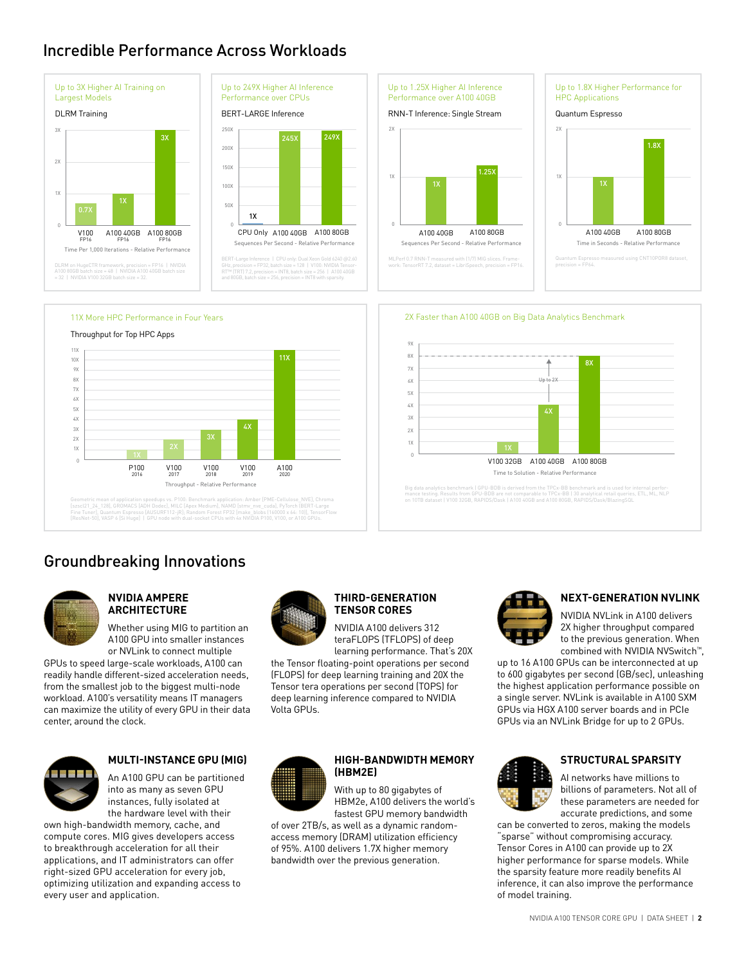### Incredible Performance Across Workloads





BERT-Large Inference | CPU only: Dual Xeon Gold 6240 @2.60<br>GHz, precision = FP32, batch size = 128 | V100: NVIDIA Tensor-<br>RT™ (TRT) 7.2, precision = INT8, batch size = 256 | A100 40GB<br>and 80GB, batch size = 256, precision







Geometric mean of application speedups vs. P100: Benchmark application: Amber (PME-Cellulose, NVE), Chroma<br>[szsci21\_24\_128], GROMAC'S (ADH Dodec), MILC (Apex Medium), NAMO [stmv\_nve\_cuda], PyTorch (BERT-Large<br>Fines Tunes (

## Groundbreaking Innovations



#### **NVIDIA AMPERE ARCHITECTURE**

Whether using MIG to partition an A100 GPU into smaller instances or NVLink to connect multiple

GPUs to speed large-scale workloads, A100 can readily handle different-sized acceleration needs, from the smallest job to the biggest multi-node workload. A100's versatility means IT managers can maximize the utility of every GPU in their data center, around the clock.



#### **MULTI-INSTANCE GPU (MIG)**

An A100 GPU can be partitioned into as many as seven GPU instances, fully isolated at the hardware level with their

own high-bandwidth memory, cache, and compute cores. MIG gives developers access to breakthrough acceleration for all their applications, and IT administrators can offer right-sized GPU acceleration for every job, optimizing utilization and expanding access to every user and application.



#### **THIRD-GENERATION TENSOR CORES**

NVIDIA A100 delivers 312 teraFLOPS (TFLOPS) of deep

1X 2X 3X 4X 5X

9X 8X 7X 6X

learning performance. That's 20X the Tensor floating-point operations per second (FLOPS) for deep learning training and 20X the Tensor tera operations per second (TOPS) for deep learning inference compared to NVIDIA Volta GPUs.



#### **HIGH-BANDWIDTH MEMORY (HBM2E)**

With up to 80 gigabytes of HBM2e, A100 delivers the world's fastest GPU memory bandwidth

of over 2TB/s, as well as a dynamic randomaccess memory (DRAM) utilization efficiency of 95%. A100 delivers 1.7X higher memory bandwidth over the previous generation.



Time to Solution - Relative Performance

Big data analytics benchmark | GPU-BDB is derived from the TPCx-BB benchmark and is used for internal perfor-<br>mance testing. Results from GPU-BDB are not comparable to TPCx-BB | 30 analytical retail queries, ETL, ML, NLP<br>o

V100 32GB A100 40GB A100 80GB

Up to 2X

2X Faster than A100 40GB on Big Data Analytics Benchmark

8X

#### **NEXT-GENERATION NVLINK**

NVIDIA NVLink in A100 delivers 2X higher throughput compared to the previous generation. When combined with NVIDIA NVSwitch™,

up to 16 A100 GPUs can be interconnected at up to 600 gigabytes per second (GB/sec), unleashing the highest application performance possible on a single server. NVLink is available in A100 SXM GPUs via HGX A100 server boards and in PCIe GPUs via an NVLink Bridge for up to 2 GPUs.



#### **STRUCTURAL SPARSITY**

AI networks have millions to billions of parameters. Not all of these parameters are needed for accurate predictions, and some

can be converted to zeros, making the models "sparse" without compromising accuracy. Tensor Cores in A100 can provide up to 2X higher performance for sparse models. While the sparsity feature more readily benefits AI inference, it can also improve the performance of model training.